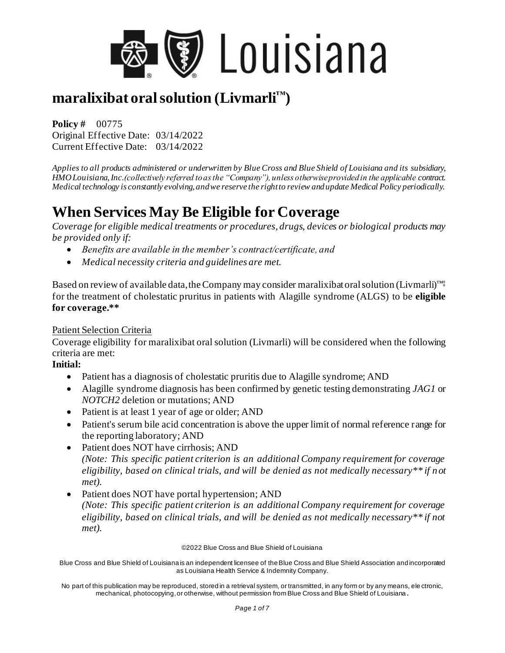

**Policy #** 00775 Original Effective Date: 03/14/2022 Current Effective Date: 03/14/2022

*Applies to all products administered or underwritten by Blue Cross and Blue Shield of Louisiana and its subsidiary, HMO Louisiana, Inc.(collectively referred to as the "Company"), unless otherwise provided in the applicable contract. Medical technology is constantly evolving, and we reserve the right to review and update Medical Policy periodically.*

# **When Services May Be Eligible for Coverage**

*Coverage for eligible medical treatments or procedures, drugs, devices or biological products may be provided only if:* 

- *Benefits are available in the member's contract/certificate, and*
- *Medical necessity criteria and guidelines are met.*

Based on review of available data, the Company may consider maralixibat oral solution (Livmarli)™‡ for the treatment of cholestatic pruritus in patients with Alagille syndrome (ALGS) to be **eligible for coverage.\*\***

#### Patient Selection Criteria

Coverage eligibility for maralixibat oral solution (Livmarli) will be considered when the following criteria are met:

#### **Initial:**

- Patient has a diagnosis of cholestatic pruritis due to Alagille syndrome; AND
- Alagille syndrome diagnosis has been confirmed by genetic testing demonstrating *JAG1* or *NOTCH2* deletion or mutations; AND
- Patient is at least 1 year of age or older; AND
- Patient's serum bile acid concentration is above the upper limit of normal reference range for the reporting laboratory; AND
- Patient does NOT have cirrhosis; AND *(Note: This specific patient criterion is an additional Company requirement for coverage eligibility, based on clinical trials, and will be denied as not medically necessary\*\* if n ot met).*
- Patient does NOT have portal hypertension; AND *(Note: This specific patient criterion is an additional Company requirement for coverage eligibility, based on clinical trials, and will be denied as not medically necessary\*\* if not met).*

#### ©2022 Blue Cross and Blue Shield of Louisiana

Blue Cross and Blue Shield of Louisiana is an independent licensee of the Blue Cross and Blue Shield Association and incorporated as Louisiana Health Service & Indemnity Company.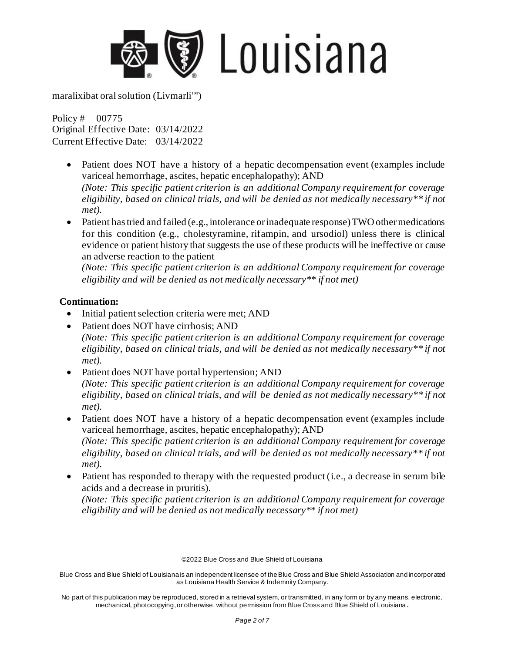

Policy # 00775 Original Effective Date: 03/14/2022 Current Effective Date: 03/14/2022

- Patient does NOT have a history of a hepatic decompensation event (examples include variceal hemorrhage, ascites, hepatic encephalopathy); AND *(Note: This specific patient criterion is an additional Company requirement for coverage eligibility, based on clinical trials, and will be denied as not medically necessary\*\* if not met).*
- Patient has tried and failed (e.g., intolerance or inadequate response) TWO other medications for this condition (e.g., cholestyramine, rifampin, and ursodiol) unless there is clinical evidence or patient history that suggests the use of these products will be ineffective or cause an adverse reaction to the patient

*(Note: This specific patient criterion is an additional Company requirement for coverage eligibility and will be denied as not medically necessary\*\* if not met)*

#### **Continuation:**

- Initial patient selection criteria were met; AND
- Patient does NOT have cirrhosis; AND *(Note: This specific patient criterion is an additional Company requirement for coverage eligibility, based on clinical trials, and will be denied as not medically necessary\*\* if not met).*
- Patient does NOT have portal hypertension; AND *(Note: This specific patient criterion is an additional Company requirement for coverage eligibility, based on clinical trials, and will be denied as not medically necessary\*\* if not met).*
- Patient does NOT have a history of a hepatic decompensation event (examples include variceal hemorrhage, ascites, hepatic encephalopathy); AND *(Note: This specific patient criterion is an additional Company requirement for coverage eligibility, based on clinical trials, and will be denied as not medically necessary\*\* if not met).*
- Patient has responded to therapy with the requested product (i.e., a decrease in serum bile acids and a decrease in pruritis).

*(Note: This specific patient criterion is an additional Company requirement for coverage eligibility and will be denied as not medically necessary\*\* if not met)*

©2022 Blue Cross and Blue Shield of Louisiana

Blue Cross and Blue Shield of Louisiana is an independent licensee of the Blue Cross and Blue Shield Association and incorporated as Louisiana Health Service & Indemnity Company.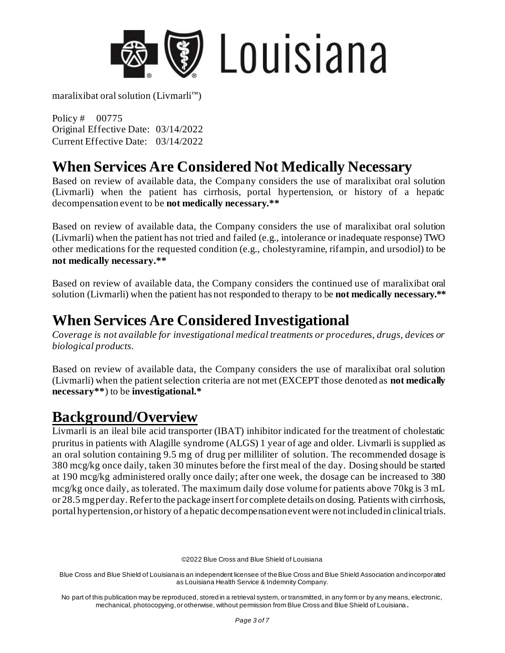

Policy # 00775 Original Effective Date: 03/14/2022 Current Effective Date: 03/14/2022

### **When Services Are Considered Not Medically Necessary**

Based on review of available data, the Company considers the use of maralixibat oral solution (Livmarli) when the patient has cirrhosis, portal hypertension, or history of a hepatic decompensation event to be **not medically necessary.\*\*** 

Based on review of available data, the Company considers the use of maralixibat oral solution (Livmarli) when the patient has not tried and failed (e.g., intolerance or inadequate response) TWO other medications for the requested condition (e.g., cholestyramine, rifampin, and ursodiol) to be **not medically necessary.\*\*** 

Based on review of available data, the Company considers the continued use of maralixibat oral solution (Livmarli) when the patient has not responded to therapy to be **not medically necessary.\*\***

## **When Services Are Considered Investigational**

*Coverage is not available for investigational medical treatments or procedures, drugs, devices or biological products.* 

Based on review of available data, the Company considers the use of maralixibat oral solution (Livmarli) when the patient selection criteria are not met (EXCEPT those denoted as **not medically necessary\*\***) to be **investigational.\*** 

## **Background/Overview**

Livmarli is an ileal bile acid transporter (IBAT) inhibitor indicated for the treatment of cholestatic pruritus in patients with Alagille syndrome (ALGS) 1 year of age and older. Livmarli is supplied as an oral solution containing 9.5 mg of drug per milliliter of solution. The recommended dosage is 380 mcg/kg once daily, taken 30 minutes before the first meal of the day. Dosing should be started at 190 mcg/kg administered orally once daily; after one week, the dosage can be increased to 380 mcg/kg once daily, as tolerated. The maximum daily dose volume for patients above 70kg is 3 mL or 28.5 mg per day. Refer to the package insert for complete details on dosing. Patients with cirrhosis, portal hypertension, or history of a hepatic decompensation event were not included in clinical trials.

©2022 Blue Cross and Blue Shield of Louisiana

Blue Cross and Blue Shield of Louisiana is an independent licensee of the Blue Cross and Blue Shield Association and incorporated as Louisiana Health Service & Indemnity Company.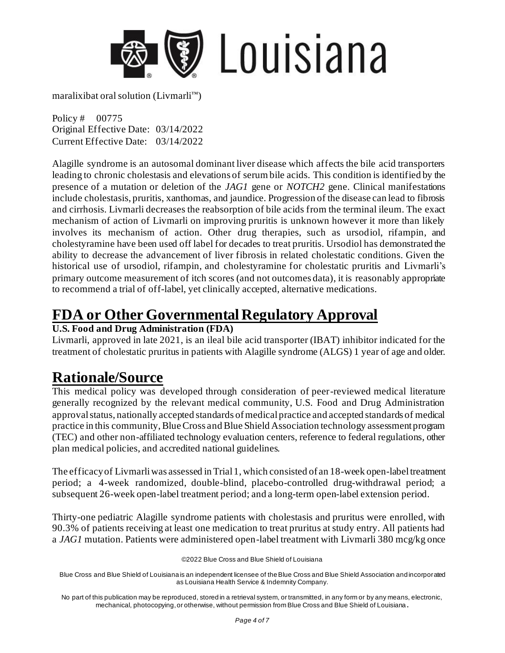

Policy # 00775 Original Effective Date: 03/14/2022 Current Effective Date: 03/14/2022

Alagille syndrome is an autosomal dominant liver disease which affects the bile acid transporters leading to chronic cholestasis and elevations of serum bile acids. This condition is identified by the presence of a mutation or deletion of the *JAG1* gene or *NOTCH2* gene. Clinical manifestations include cholestasis, pruritis, xanthomas, and jaundice. Progression of the disease can lead to fibrosis and cirrhosis. Livmarli decreases the reabsorption of bile acids from the terminal ileum. The exact mechanism of action of Livmarli on improving pruritis is unknown however it more than likely involves its mechanism of action. Other drug therapies, such as ursodiol, rifampin, and cholestyramine have been used off label for decades to treat pruritis. Ursodiol has demonstrated the ability to decrease the advancement of liver fibrosis in related cholestatic conditions. Given the historical use of ursodiol, rifampin, and cholestyramine for cholestatic pruritis and Livmarli's primary outcome measurement of itch scores (and not outcomes data), it is reasonably appropriate to recommend a trial of off-label, yet clinically accepted, alternative medications.

### **FDA or Other Governmental Regulatory Approval**

#### **U.S. Food and Drug Administration (FDA)**

Livmarli, approved in late 2021, is an ileal bile acid transporter (IBAT) inhibitor indicated for the treatment of cholestatic pruritus in patients with Alagille syndrome (ALGS) 1 year of age and older.

## **Rationale/Source**

This medical policy was developed through consideration of peer-reviewed medical literature generally recognized by the relevant medical community, U.S. Food and Drug Administration approval status, nationally accepted standards of medical practice and accepted standards of medical practice in this community, Blue Cross and Blue Shield Association technology assessment program (TEC) and other non-affiliated technology evaluation centers, reference to federal regulations, other plan medical policies, and accredited national guidelines.

The efficacy of Livmarli was assessed in Trial 1, which consisted of an 18-week open-label treatment period; a 4-week randomized, double-blind, placebo-controlled drug-withdrawal period; a subsequent 26-week open-label treatment period; and a long-term open-label extension period.

Thirty-one pediatric Alagille syndrome patients with cholestasis and pruritus were enrolled, with 90.3% of patients receiving at least one medication to treat pruritus at study entry. All patients had a *JAG1* mutation. Patients were administered open-label treatment with Livmarli 380 mcg/kg once

©2022 Blue Cross and Blue Shield of Louisiana

Blue Cross and Blue Shield of Louisiana is an independent licensee of the Blue Cross and Blue Shield Association and incorporated as Louisiana Health Service & Indemnity Company.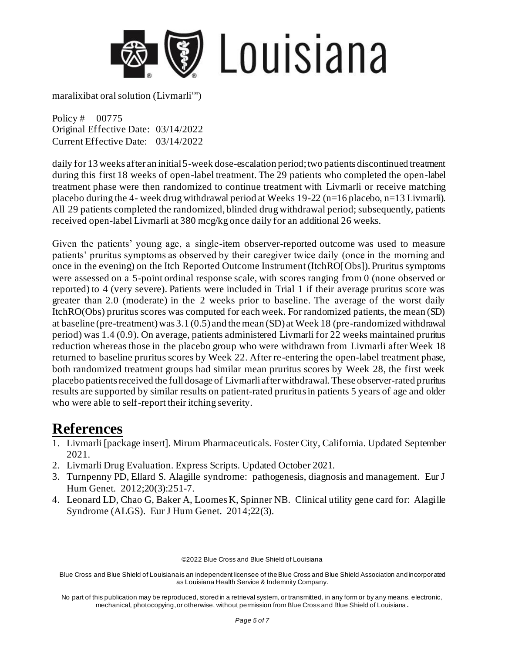

Policy # 00775 Original Effective Date: 03/14/2022 Current Effective Date: 03/14/2022

daily for 13 weeks after an initial 5-week dose-escalation period; two patients discontinued treatment during this first 18 weeks of open-label treatment. The 29 patients who completed the open-label treatment phase were then randomized to continue treatment with Livmarli or receive matching placebo during the 4- week drug withdrawal period at Weeks  $19-22$  (n=16 placebo, n=13 Livmarli). All 29 patients completed the randomized, blinded drug withdrawal period; subsequently, patients received open-label Livmarli at 380 mcg/kg once daily for an additional 26 weeks.

Given the patients' young age, a single-item observer-reported outcome was used to measure patients' pruritus symptoms as observed by their caregiver twice daily (once in the morning and once in the evening) on the Itch Reported Outcome Instrument (ItchRO[Obs]). Pruritus symptoms were assessed on a 5-point ordinal response scale, with scores ranging from 0 (none observed or reported) to 4 (very severe). Patients were included in Trial 1 if their average pruritus score was greater than 2.0 (moderate) in the 2 weeks prior to baseline. The average of the worst daily ItchRO(Obs) pruritus scores was computed for each week. For randomized patients, the mean (SD) at baseline (pre-treatment) was 3.1 (0.5) and the mean (SD) at Week 18 (pre-randomized withdrawal period) was 1.4 (0.9). On average, patients administered Livmarli for 22 weeks maintained pruritus reduction whereas those in the placebo group who were withdrawn from Livmarli after Week 18 returned to baseline pruritus scores by Week 22. After re-entering the open-label treatment phase, both randomized treatment groups had similar mean pruritus scores by Week 28, the first week placebo patients received the full dosage of Livmarli after withdrawal. These observer-rated pruritus results are supported by similar results on patient-rated pruritus in patients 5 years of age and older who were able to self-report their itching severity.

### **References**

- 1. Livmarli [package insert]. Mirum Pharmaceuticals. Foster City, California. Updated September 2021.
- 2. Livmarli Drug Evaluation. Express Scripts. Updated October 2021.
- 3. Turnpenny PD, Ellard S. Alagille syndrome: pathogenesis, diagnosis and management. Eur J Hum Genet. 2012;20(3):251-7.
- 4. Leonard LD, Chao G, Baker A, Loomes K, Spinner NB. Clinical utility gene card for: Alagille Syndrome (ALGS). Eur J Hum Genet. 2014;22(3).

©2022 Blue Cross and Blue Shield of Louisiana

Blue Cross and Blue Shield of Louisiana is an independent licensee of the Blue Cross and Blue Shield Association and incorporated as Louisiana Health Service & Indemnity Company.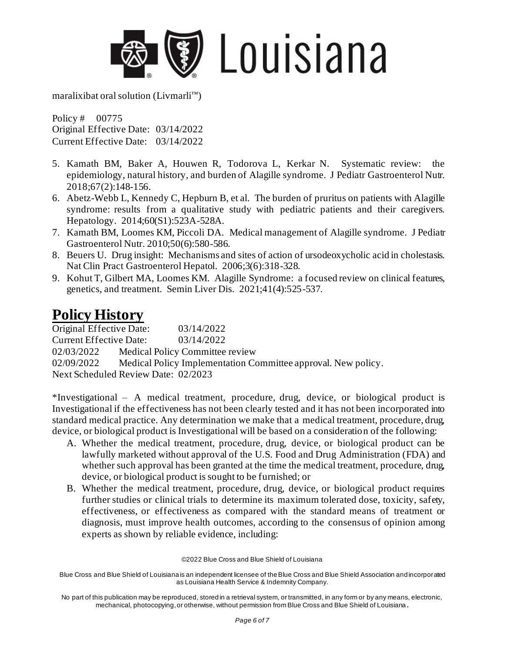

Policy # 00775 Original Effective Date: 03/14/2022 Current Effective Date: 03/14/2022

- 5. Kamath BM, Baker A, Houwen R, Todorova L, Kerkar N. Systematic review: the epidemiology, natural history, and burden of Alagille syndrome. J Pediatr Gastroenterol Nutr. 2018;67(2):148-156.
- 6. Abetz-Webb L, Kennedy C, Hepburn B, et al. The burden of pruritus on patients with Alagille syndrome: results from a qualitative study with pediatric patients and their caregivers. Hepatology. 2014;60(S1):523A-528A.
- 7. Kamath BM, Loomes KM, Piccoli DA. Medical management of Alagille syndrome. J Pediatr Gastroenterol Nutr. 2010;50(6):580-586.
- 8. Beuers U. Drug insight: Mechanisms and sites of action of ursodeoxycholic acid in cholestasis. Nat Clin Pract Gastroenterol Hepatol. 2006;3(6):318-328.
- 9. Kohut T, Gilbert MA, Loomes KM. Alagille Syndrome: a focused review on clinical features, genetics, and treatment. Semin Liver Dis. 2021;41(4):525-537.

### **Policy History**

Original Effective Date: 03/14/2022 Current Effective Date: 03/14/2022 02/03/2022 Medical Policy Committee review 02/09/2022 Medical Policy Implementation Committee approval. New policy. Next Scheduled Review Date: 02/2023

\*Investigational – A medical treatment, procedure, drug, device, or biological product is Investigational if the effectiveness has not been clearly tested and it has not been incorporated into standard medical practice. Any determination we make that a medical treatment, procedure, drug, device, or biological product is Investigational will be based on a consideration of the following:

- A. Whether the medical treatment, procedure, drug, device, or biological product can be lawfully marketed without approval of the U.S. Food and Drug Administration (FDA) and whether such approval has been granted at the time the medical treatment, procedure, drug, device, or biological product is sought to be furnished; or
- B. Whether the medical treatment, procedure, drug, device, or biological product requires further studies or clinical trials to determine its maximum tolerated dose, toxicity, safety, effectiveness, or effectiveness as compared with the standard means of treatment or diagnosis, must improve health outcomes, according to the consensus of opinion among experts as shown by reliable evidence, including:

©2022 Blue Cross and Blue Shield of Louisiana

Blue Cross and Blue Shield of Louisiana is an independent licensee of the Blue Cross and Blue Shield Association and incorporated as Louisiana Health Service & Indemnity Company.

No part of this publication may be reproduced, stored in a retrieval system, or transmitted, in any form or by any means, electronic, mechanical, photocopying, or otherwise, without permission from Blue Cross and Blue Shield of Louisiana **.**